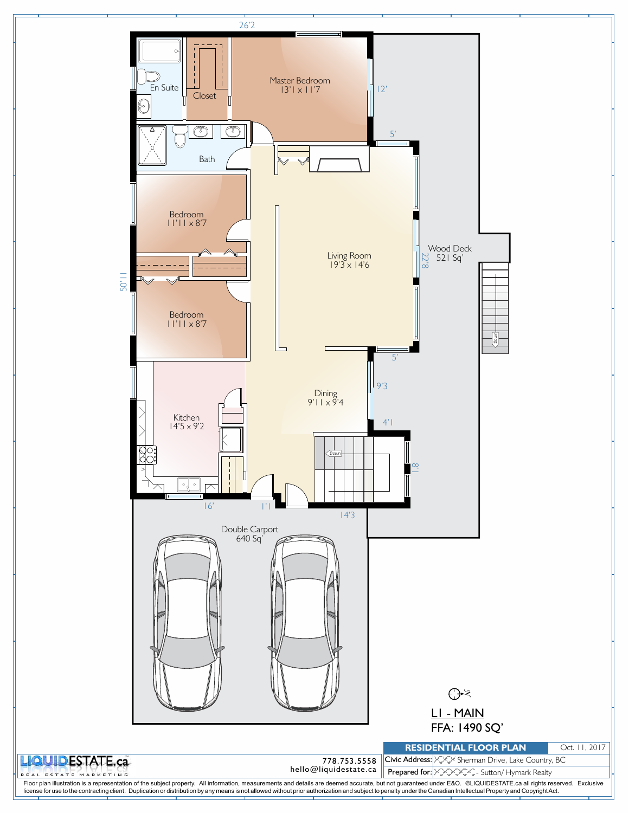